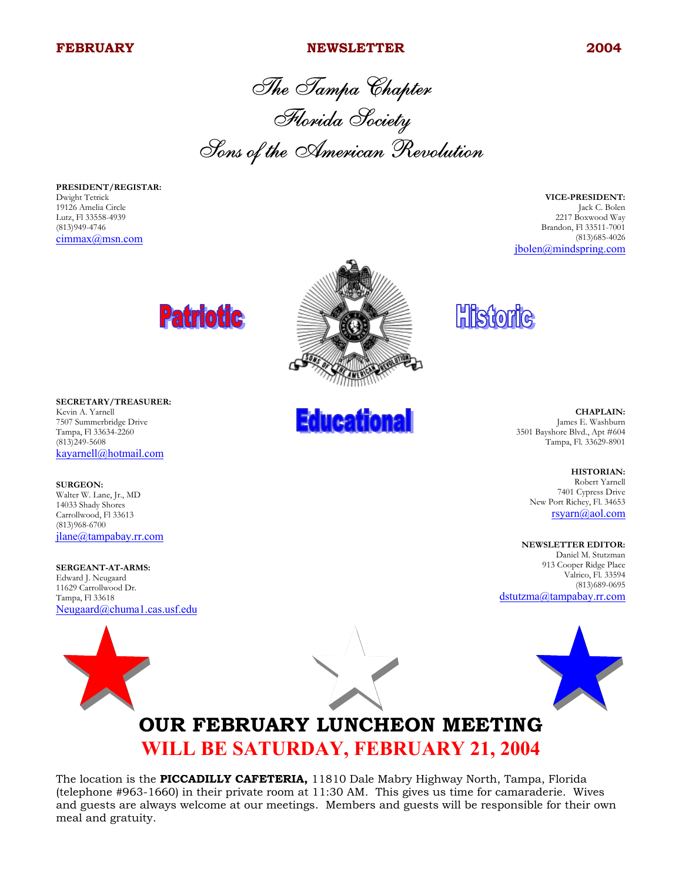#### **FEBRUARY NEWSLETTER 2004**

The Tampa Chapter Florida Society Sons of the American Revolution

**PRESIDENT/REGISTAR:** Dwight Tetrick 19126 Amelia Circle Lutz, Fl 33558-4939 (813)949-4746 cimmax@msn.com

**VICE-PRESIDENT:** Jack C. Bolen 2217 Boxwood Way Brandon, Fl 33511-7001 (813)685-4026 jbolen@mindspring.com





**SURGEON:** Walter W. Lane, Jr., MD 14033 Shady Shores Carrollwood, Fl 33613 (813)968-6700 jlane@tampabay.rr.com

**SERGEANT-AT-ARMS:** Edward J. Neugaard 11629 Carrollwood Dr. Tampa, Fl 33618 Neugaard@chuma1.cas.usf.edu



**Educational** 

**Historic** 

**CHAPLAIN:** James E. Washburn 3501 Bayshore Blvd., Apt #604 Tampa, Fl. 33629-8901

> **HISTORIAN:** Robert Yarnell 7401 Cypress Drive New Port Richey, Fl. 34653 rsyarn@aol.com

**NEWSLETTER EDITOR:**

Daniel M. Stutzman 913 Cooper Ridge Place Valrico, Fl. 33594 (813)689-0695 dstutzma@tampabay.rr.com



# **OUR FEBRUARY LUNCHEON MEETING WILL BE SATURDAY, FEBRUARY 21, 2004**

The location is the **PICCADILLY CAFETERIA,** 11810 Dale Mabry Highway North, Tampa, Florida (telephone #963-1660) in their private room at 11:30 AM. This gives us time for camaraderie. Wives and guests are always welcome at our meetings. Members and guests will be responsible for their own meal and gratuity.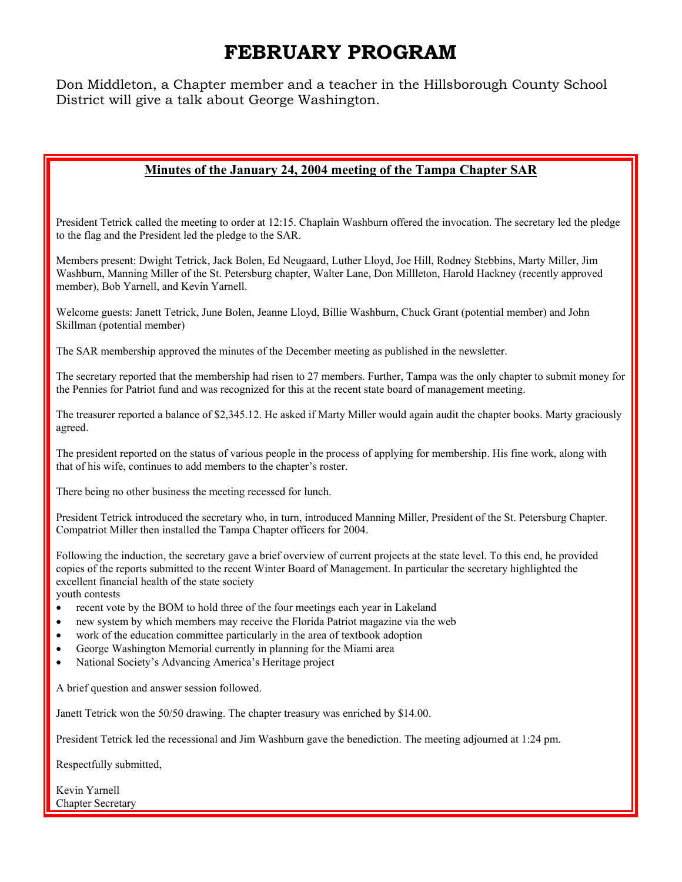# **FEBRUARY PROGRAM**

Don Middleton, a Chapter member and a teacher in the Hillsborough County School District will give a talk about George Washington.

### **Minutes of the January 24, 2004 meeting of the Tampa Chapter SAR**

President Tetrick called the meeting to order at 12:15. Chaplain Washburn offered the invocation. The secretary led the pledge to the flag and the President led the pledge to the SAR.

Members present: Dwight Tetrick, Jack Bolen, Ed Neugaard, Luther Lloyd, Joe Hill, Rodney Stebbins, Marty Miller, Jim Washburn, Manning Miller of the St. Petersburg chapter, Walter Lane, Don Millleton, Harold Hackney (recently approved member), Bob Yarnell, and Kevin Yarnell.

Welcome guests: Janett Tetrick, June Bolen, Jeanne Lloyd, Billie Washburn, Chuck Grant (potential member) and John Skillman (potential member)

The SAR membership approved the minutes of the December meeting as published in the newsletter.

The secretary reported that the membership had risen to 27 members. Further, Tampa was the only chapter to submit money for the Pennies for Patriot fund and was recognized for this at the recent state board of management meeting.

The treasurer reported a balance of \$2,345.12. He asked if Marty Miller would again audit the chapter books. Marty graciously agreed.

The president reported on the status of various people in the process of applying for membership. His fine work, along with that of his wife, continues to add members to the chapter's roster.

There being no other business the meeting recessed for lunch.

President Tetrick introduced the secretary who, in turn, introduced Manning Miller, President of the St. Petersburg Chapter. Compatriot Miller then installed the Tampa Chapter officers for 2004.

Following the induction, the secretary gave a brief overview of current projects at the state level. To this end, he provided copies of the reports submitted to the recent Winter Board of Management. In particular the secretary highlighted the excellent financial health of the state society

youth contests

- recent vote by the BOM to hold three of the four meetings each year in Lakeland
- new system by which members may receive the Florida Patriot magazine via the web
- work of the education committee particularly in the area of textbook adoption
- George Washington Memorial currently in planning for the Miami area
- National Society's Advancing America's Heritage project

A brief question and answer session followed.

Janett Tetrick won the 50/50 drawing. The chapter treasury was enriched by \$14.00.

President Tetrick led the recessional and Jim Washburn gave the benediction. The meeting adjourned at 1:24 pm.

Respectfully submitted,

Kevin Yarnell Chapter Secretary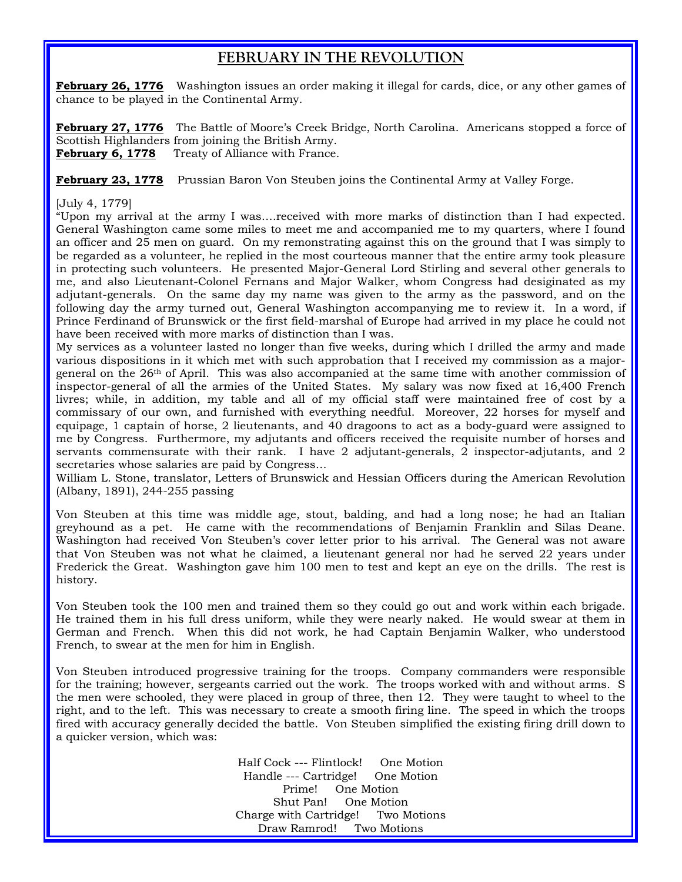## **FEBRUARY IN THE REVOLUTION**

**February 26, 1776** Washington issues an order making it illegal for cards, dice, or any other games of chance to be played in the Continental Army.

**February 27, 1776** The Battle of Moore's Creek Bridge, North Carolina. Americans stopped a force of Scottish Highlanders from joining the British Army. February 6, 1778 Treaty of Alliance with France.

**February 23, 1778** Prussian Baron Von Steuben joins the Continental Army at Valley Forge.

#### [July 4, 1779]

"Upon my arrival at the army I was….received with more marks of distinction than I had expected. General Washington came some miles to meet me and accompanied me to my quarters, where I found an officer and 25 men on guard. On my remonstrating against this on the ground that I was simply to be regarded as a volunteer, he replied in the most courteous manner that the entire army took pleasure in protecting such volunteers. He presented Major-General Lord Stirling and several other generals to me, and also Lieutenant-Colonel Fernans and Major Walker, whom Congress had desiginated as my adjutant-generals. On the same day my name was given to the army as the password, and on the following day the army turned out, General Washington accompanying me to review it. In a word, if Prince Ferdinand of Brunswick or the first field-marshal of Europe had arrived in my place he could not have been received with more marks of distinction than I was.

My services as a volunteer lasted no longer than five weeks, during which I drilled the army and made various dispositions in it which met with such approbation that I received my commission as a majorgeneral on the 26th of April. This was also accompanied at the same time with another commission of inspector-general of all the armies of the United States. My salary was now fixed at 16,400 French livres; while, in addition, my table and all of my official staff were maintained free of cost by a commissary of our own, and furnished with everything needful. Moreover, 22 horses for myself and equipage, 1 captain of horse, 2 lieutenants, and 40 dragoons to act as a body-guard were assigned to me by Congress. Furthermore, my adjutants and officers received the requisite number of horses and servants commensurate with their rank. I have 2 adjutant-generals, 2 inspector-adjutants, and 2 secretaries whose salaries are paid by Congress…

William L. Stone, translator, Letters of Brunswick and Hessian Officers during the American Revolution (Albany, 1891), 244-255 passing

Von Steuben at this time was middle age, stout, balding, and had a long nose; he had an Italian greyhound as a pet. He came with the recommendations of Benjamin Franklin and Silas Deane. Washington had received Von Steuben's cover letter prior to his arrival. The General was not aware that Von Steuben was not what he claimed, a lieutenant general nor had he served 22 years under Frederick the Great. Washington gave him 100 men to test and kept an eye on the drills. The rest is history.

Von Steuben took the 100 men and trained them so they could go out and work within each brigade. He trained them in his full dress uniform, while they were nearly naked. He would swear at them in German and French. When this did not work, he had Captain Benjamin Walker, who understood French, to swear at the men for him in English.

Von Steuben introduced progressive training for the troops. Company commanders were responsible for the training; however, sergeants carried out the work. The troops worked with and without arms. S the men were schooled, they were placed in group of three, then 12. They were taught to wheel to the right, and to the left. This was necessary to create a smooth firing line. The speed in which the troops fired with accuracy generally decided the battle. Von Steuben simplified the existing firing drill down to a quicker version, which was:

> Half Cock --- Flintlock! One Motion Handle --- Cartridge! One Motion Prime! One Motion Shut Pan! One Motion Charge with Cartridge! Two Motions Draw Ramrod! Two Motions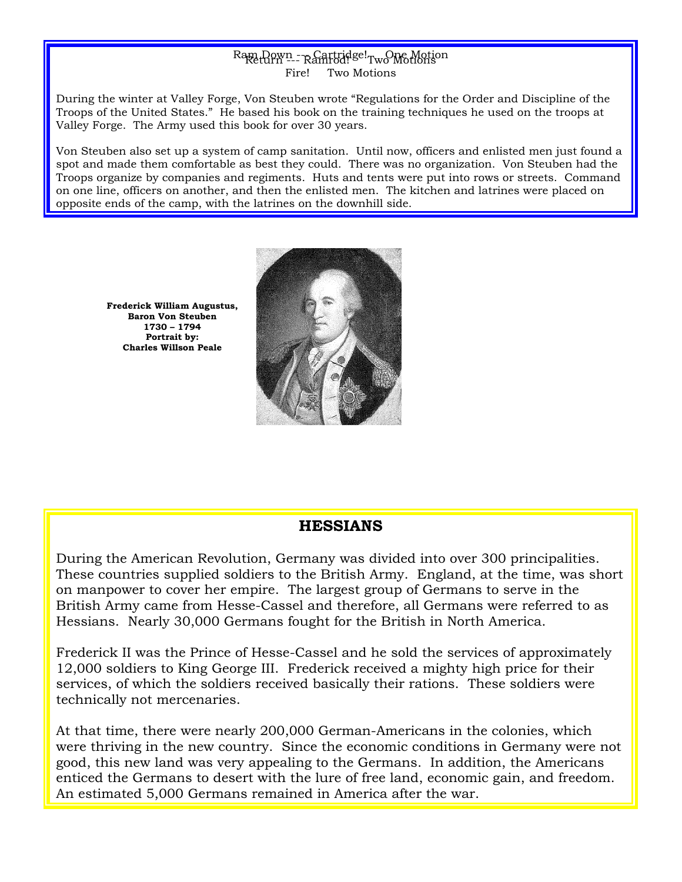### $Rap$  Down --- Rantridge!  $Tw$  Motion Fire! Two Motions

During the winter at Valley Forge, Von Steuben wrote "Regulations for the Order and Discipline of the Troops of the United States." He based his book on the training techniques he used on the troops at Valley Forge. The Army used this book for over 30 years.

Von Steuben also set up a system of camp sanitation. Until now, officers and enlisted men just found a spot and made them comfortable as best they could. There was no organization. Von Steuben had the Troops organize by companies and regiments. Huts and tents were put into rows or streets. Command on one line, officers on another, and then the enlisted men. The kitchen and latrines were placed on opposite ends of the camp, with the latrines on the downhill side.

**Frederick William Augustus, Baron Von Steuben 1730 – 1794 Portrait by: Charles Willson Peale**



### **HESSIANS**

During the American Revolution, Germany was divided into over 300 principalities. These countries supplied soldiers to the British Army. England, at the time, was short on manpower to cover her empire. The largest group of Germans to serve in the British Army came from Hesse-Cassel and therefore, all Germans were referred to as Hessians. Nearly 30,000 Germans fought for the British in North America.

Frederick II was the Prince of Hesse-Cassel and he sold the services of approximately 12,000 soldiers to King George III. Frederick received a mighty high price for their services, of which the soldiers received basically their rations. These soldiers were technically not mercenaries.

At that time, there were nearly 200,000 German-Americans in the colonies, which were thriving in the new country. Since the economic conditions in Germany were not good, this new land was very appealing to the Germans. In addition, the Americans enticed the Germans to desert with the lure of free land, economic gain, and freedom. An estimated 5,000 Germans remained in America after the war.